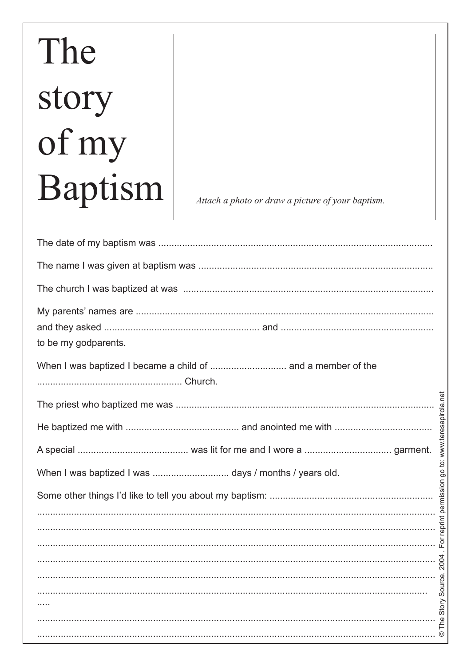## The story of my Baptism

Attach a photo or draw a picture of your baptism.

| to be my godparents.                                                                                                                                                                                                             |  |
|----------------------------------------------------------------------------------------------------------------------------------------------------------------------------------------------------------------------------------|--|
| When I was baptized I became a child of  and a member of the                                                                                                                                                                     |  |
|                                                                                                                                                                                                                                  |  |
|                                                                                                                                                                                                                                  |  |
|                                                                                                                                                                                                                                  |  |
|                                                                                                                                                                                                                                  |  |
|                                                                                                                                                                                                                                  |  |
|                                                                                                                                                                                                                                  |  |
|                                                                                                                                                                                                                                  |  |
|                                                                                                                                                                                                                                  |  |
| $\begin{array}{c}\n\circ \\ \circ \\ \circ \\ \circ \\ \circ\n\end{array}$                                                                                                                                                       |  |
|                                                                                                                                                                                                                                  |  |
| and the contract of the contract of the contract of the contract of the contract of the contract of the contra<br>a the contract of the contract of the contract of the contract of the contract of the contract of the contract |  |
|                                                                                                                                                                                                                                  |  |